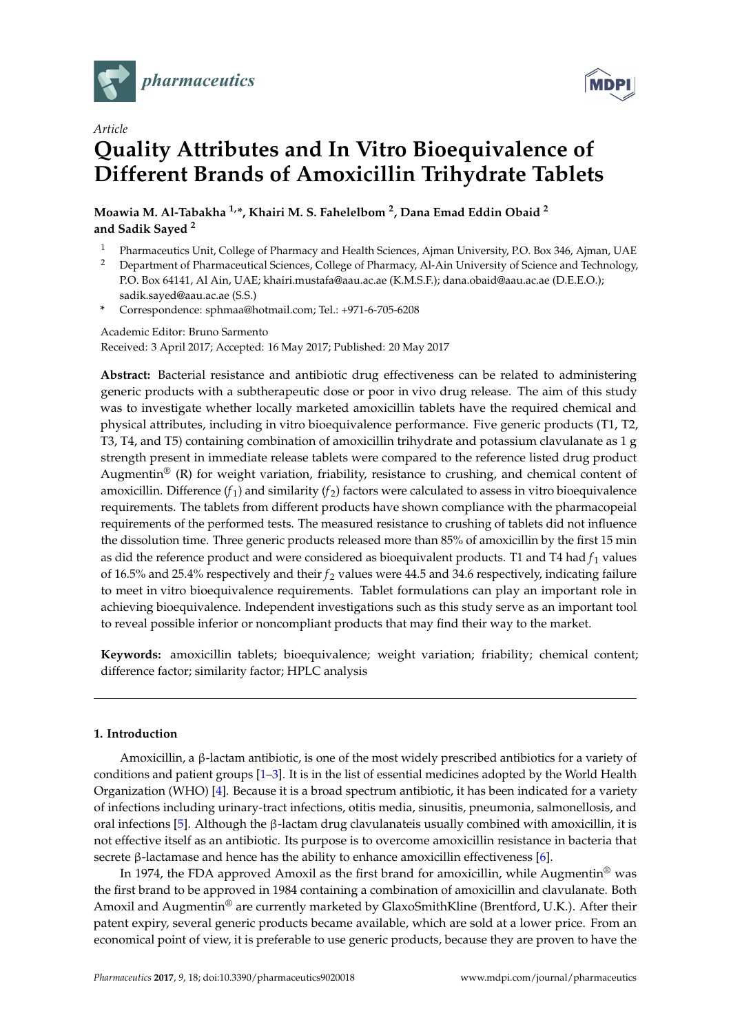

*Article*



# **Quality Attributes and In Vitro Bioequivalence of Different Brands of Amoxicillin Trihydrate Tablets**

**Moawia M. Al-Tabakha 1,\*, Khairi M. S. Fahelelbom <sup>2</sup> , Dana Emad Eddin Obaid <sup>2</sup> and Sadik Sayed <sup>2</sup>**

- <sup>1</sup> Pharmaceutics Unit, College of Pharmacy and Health Sciences, Ajman University, P.O. Box 346, Ajman, UAE<br><sup>2</sup> Department of Pharmaceutical Sciences, College of Pharmacy, Al-Ain University of Science and Technology
- <sup>2</sup> Department of Pharmaceutical Sciences, College of Pharmacy, Al-Ain University of Science and Technology, P.O. Box 64141, Al Ain, UAE; khairi.mustafa@aau.ac.ae (K.M.S.F.); dana.obaid@aau.ac.ae (D.E.E.O.); sadik.sayed@aau.ac.ae (S.S.)
- **\*** Correspondence: sphmaa@hotmail.com; Tel.: +971-6-705-6208

Academic Editor: Bruno Sarmento Received: 3 April 2017; Accepted: 16 May 2017; Published: 20 May 2017

**Abstract:** Bacterial resistance and antibiotic drug effectiveness can be related to administering generic products with a subtherapeutic dose or poor in vivo drug release. The aim of this study was to investigate whether locally marketed amoxicillin tablets have the required chemical and physical attributes, including in vitro bioequivalence performance. Five generic products (T1, T2, T3, T4, and T5) containing combination of amoxicillin trihydrate and potassium clavulanate as 1 g strength present in immediate release tablets were compared to the reference listed drug product Augmentin<sup>®</sup> (R) for weight variation, friability, resistance to crushing, and chemical content of amoxicillin. Difference  $(f_1)$  and similarity  $(f_2)$  factors were calculated to assess in vitro bioequivalence requirements. The tablets from different products have shown compliance with the pharmacopeial requirements of the performed tests. The measured resistance to crushing of tablets did not influence the dissolution time. Three generic products released more than 85% of amoxicillin by the first 15 min as did the reference product and were considered as bioequivalent products. T1 and T4 had  $f_1$  values of 16.5% and 25.4% respectively and their *f* <sup>2</sup> values were 44.5 and 34.6 respectively, indicating failure to meet in vitro bioequivalence requirements. Tablet formulations can play an important role in achieving bioequivalence. Independent investigations such as this study serve as an important tool to reveal possible inferior or noncompliant products that may find their way to the market.

**Keywords:** amoxicillin tablets; bioequivalence; weight variation; friability; chemical content; difference factor; similarity factor; HPLC analysis

#### **1. Introduction**

Amoxicillin, a β-lactam antibiotic, is one of the most widely prescribed antibiotics for a variety of conditions and patient groups [\[1–](#page-8-0)[3\]](#page-8-1). It is in the list of essential medicines adopted by the World Health Organization (WHO) [\[4\]](#page-8-2). Because it is a broad spectrum antibiotic, it has been indicated for a variety of infections including urinary-tract infections, otitis media, sinusitis, pneumonia, salmonellosis, and oral infections [\[5\]](#page-8-3). Although the β-lactam drug clavulanateis usually combined with amoxicillin, it is not effective itself as an antibiotic. Its purpose is to overcome amoxicillin resistance in bacteria that secrete β-lactamase and hence has the ability to enhance amoxicillin effectiveness [\[6\]](#page-8-4).

In 1974, the FDA approved Amoxil as the first brand for amoxicillin, while Augmentin<sup>®</sup> was the first brand to be approved in 1984 containing a combination of amoxicillin and clavulanate. Both Amoxil and Augmentin<sup>®</sup> are currently marketed by GlaxoSmithKline (Brentford, U.K.). After their patent expiry, several generic products became available, which are sold at a lower price. From an economical point of view, it is preferable to use generic products, because they are proven to have the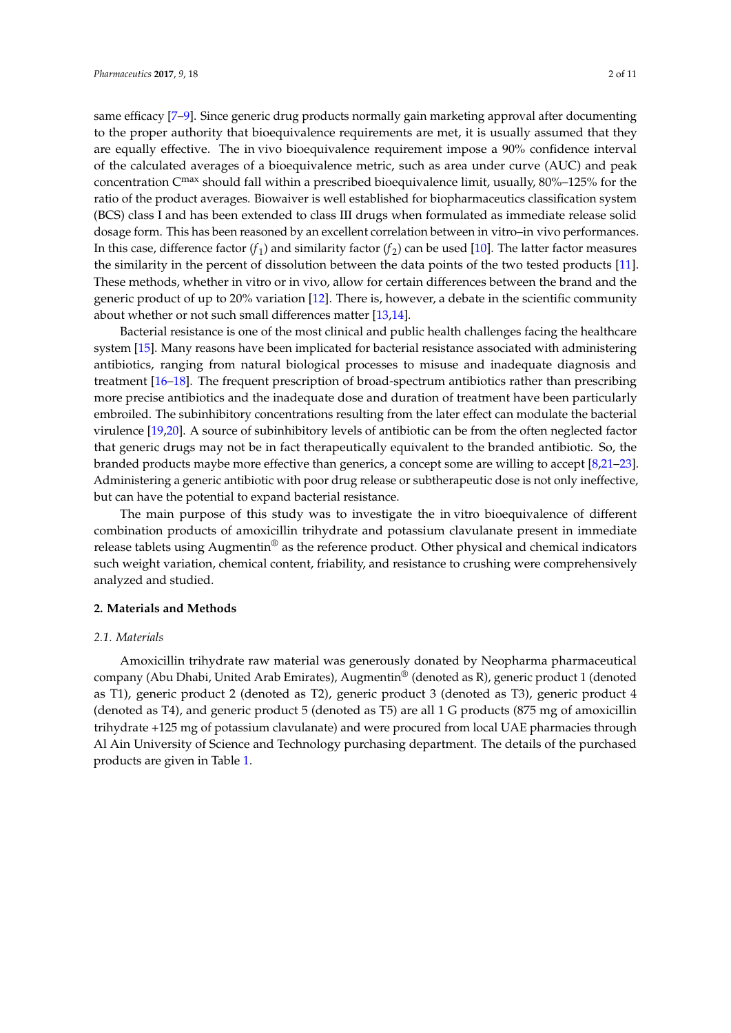same efficacy [\[7–](#page-8-5)[9\]](#page-8-6). Since generic drug products normally gain marketing approval after documenting to the proper authority that bioequivalence requirements are met, it is usually assumed that they are equally effective. The in vivo bioequivalence requirement impose a 90% confidence interval of the calculated averages of a bioequivalence metric, such as area under curve (AUC) and peak concentration Cmax should fall within a prescribed bioequivalence limit, usually, 80%–125% for the ratio of the product averages. Biowaiver is well established for biopharmaceutics classification system (BCS) class I and has been extended to class III drugs when formulated as immediate release solid dosage form. This has been reasoned by an excellent correlation between in vitro–in vivo performances. In this case, difference factor  $(f_1)$  and similarity factor  $(f_2)$  can be used [\[10\]](#page-8-7). The latter factor measures the similarity in the percent of dissolution between the data points of the two tested products [\[11\]](#page-8-8). These methods, whether in vitro or in vivo, allow for certain differences between the brand and the generic product of up to 20% variation [\[12\]](#page-8-9). There is, however, a debate in the scientific community about whether or not such small differences matter [\[13,](#page-9-0)[14\]](#page-9-1).

Bacterial resistance is one of the most clinical and public health challenges facing the healthcare system [\[15\]](#page-9-2). Many reasons have been implicated for bacterial resistance associated with administering antibiotics, ranging from natural biological processes to misuse and inadequate diagnosis and treatment [\[16](#page-9-3)[–18\]](#page-9-4). The frequent prescription of broad-spectrum antibiotics rather than prescribing more precise antibiotics and the inadequate dose and duration of treatment have been particularly embroiled. The subinhibitory concentrations resulting from the later effect can modulate the bacterial virulence [\[19,](#page-9-5)[20\]](#page-9-6). A source of subinhibitory levels of antibiotic can be from the often neglected factor that generic drugs may not be in fact therapeutically equivalent to the branded antibiotic. So, the branded products maybe more effective than generics, a concept some are willing to accept [\[8](#page-8-10)[,21–](#page-9-7)[23\]](#page-9-8). Administering a generic antibiotic with poor drug release or subtherapeutic dose is not only ineffective, but can have the potential to expand bacterial resistance.

The main purpose of this study was to investigate the in vitro bioequivalence of different combination products of amoxicillin trihydrate and potassium clavulanate present in immediate release tablets using Augmentin<sup>®</sup> as the reference product. Other physical and chemical indicators such weight variation, chemical content, friability, and resistance to crushing were comprehensively analyzed and studied.

#### **2. Materials and Methods**

#### *2.1. Materials*

Amoxicillin trihydrate raw material was generously donated by Neopharma pharmaceutical company (Abu Dhabi, United Arab Emirates), Augmentin® (denoted as R), generic product 1 (denoted as T1), generic product 2 (denoted as T2), generic product 3 (denoted as T3), generic product 4 (denoted as T4), and generic product 5 (denoted as T5) are all 1 G products (875 mg of amoxicillin trihydrate +125 mg of potassium clavulanate) and were procured from local UAE pharmacies through Al Ain University of Science and Technology purchasing department. The details of the purchased products are given in Table [1.](#page-2-0)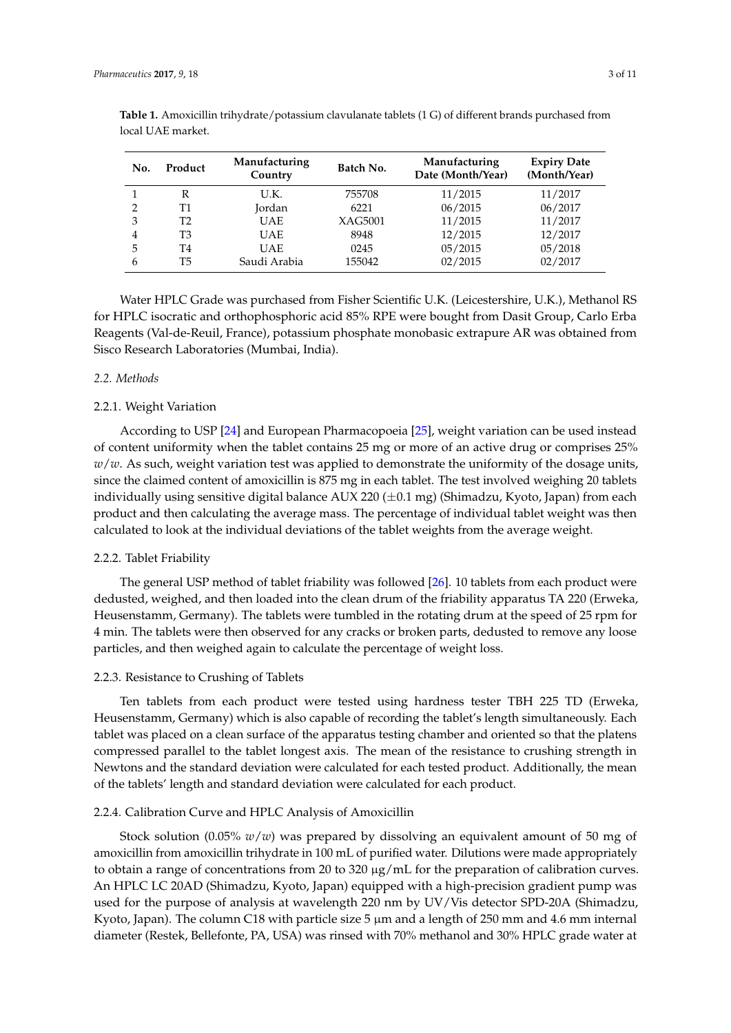| No.            | Product | Manufacturing<br>Country | Batch No. | Manufacturing<br>Date (Month/Year) | <b>Expiry Date</b><br>(Month/Year) |
|----------------|---------|--------------------------|-----------|------------------------------------|------------------------------------|
|                | R       | U.K.                     | 755708    | 11/2015                            | 11/2017                            |
| 2              | Τ1      | Jordan                   | 6221      | 06/2015                            | 06/2017                            |
| 3              | T2      | <b>UAE</b>               | XAG5001   | 11/2015                            | 11/2017                            |
| $\overline{4}$ | T3      | <b>UAE</b>               | 8948      | 12/2015                            | 12/2017                            |
| 5              | T4      | <b>UAE</b>               | 0245      | 05/2015                            | 05/2018                            |
| 6              | T5      | Saudi Arabia             | 155042    | 02/2015                            | 02/2017                            |

<span id="page-2-0"></span>**Table 1.** Amoxicillin trihydrate/potassium clavulanate tablets (1 G) of different brands purchased from local UAE market.

Water HPLC Grade was purchased from Fisher Scientific U.K. (Leicestershire, U.K.), Methanol RS for HPLC isocratic and orthophosphoric acid 85% RPE were bought from Dasit Group, Carlo Erba Reagents (Val-de-Reuil, France), potassium phosphate monobasic extrapure AR was obtained from Sisco Research Laboratories (Mumbai, India).

#### *2.2. Methods*

#### 2.2.1. Weight Variation

According to USP [\[24\]](#page-9-9) and European Pharmacopoeia [\[25\]](#page-9-10), weight variation can be used instead of content uniformity when the tablet contains 25 mg or more of an active drug or comprises 25% *w*/*w*. As such, weight variation test was applied to demonstrate the uniformity of the dosage units, since the claimed content of amoxicillin is 875 mg in each tablet. The test involved weighing 20 tablets individually using sensitive digital balance AUX 220  $(\pm 0.1 \text{ mg})$  (Shimadzu, Kyoto, Japan) from each product and then calculating the average mass. The percentage of individual tablet weight was then calculated to look at the individual deviations of the tablet weights from the average weight.

#### 2.2.2. Tablet Friability

The general USP method of tablet friability was followed [\[26\]](#page-9-11). 10 tablets from each product were dedusted, weighed, and then loaded into the clean drum of the friability apparatus TA 220 (Erweka, Heusenstamm, Germany). The tablets were tumbled in the rotating drum at the speed of 25 rpm for 4 min. The tablets were then observed for any cracks or broken parts, dedusted to remove any loose particles, and then weighed again to calculate the percentage of weight loss.

#### 2.2.3. Resistance to Crushing of Tablets

Ten tablets from each product were tested using hardness tester TBH 225 TD (Erweka, Heusenstamm, Germany) which is also capable of recording the tablet's length simultaneously. Each tablet was placed on a clean surface of the apparatus testing chamber and oriented so that the platens compressed parallel to the tablet longest axis. The mean of the resistance to crushing strength in Newtons and the standard deviation were calculated for each tested product. Additionally, the mean of the tablets' length and standard deviation were calculated for each product.

#### 2.2.4. Calibration Curve and HPLC Analysis of Amoxicillin

Stock solution (0.05% *w*/*w*) was prepared by dissolving an equivalent amount of 50 mg of amoxicillin from amoxicillin trihydrate in 100 mL of purified water. Dilutions were made appropriately to obtain a range of concentrations from 20 to 320  $\mu$ g/mL for the preparation of calibration curves. An HPLC LC 20AD (Shimadzu, Kyoto, Japan) equipped with a high-precision gradient pump was used for the purpose of analysis at wavelength 220 nm by UV/Vis detector SPD-20A (Shimadzu, Kyoto, Japan). The column C18 with particle size  $5 \mu m$  and a length of 250 mm and 4.6 mm internal diameter (Restek, Bellefonte, PA, USA) was rinsed with 70% methanol and 30% HPLC grade water at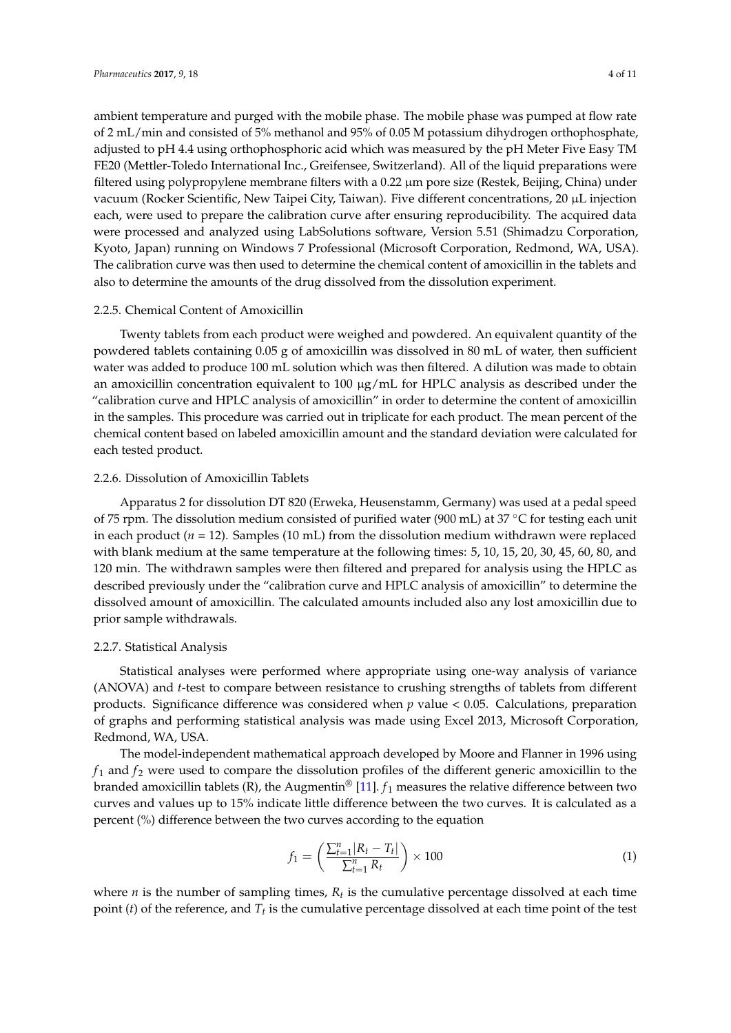ambient temperature and purged with the mobile phase. The mobile phase was pumped at flow rate of 2 mL/min and consisted of 5% methanol and 95% of 0.05 M potassium dihydrogen orthophosphate, adjusted to pH 4.4 using orthophosphoric acid which was measured by the pH Meter Five Easy TM FE20 (Mettler-Toledo International Inc., Greifensee, Switzerland). All of the liquid preparations were filtered using polypropylene membrane filters with a 0.22 µm pore size (Restek, Beijing, China) under vacuum (Rocker Scientific, New Taipei City, Taiwan). Five different concentrations, 20 µL injection each, were used to prepare the calibration curve after ensuring reproducibility. The acquired data were processed and analyzed using LabSolutions software, Version 5.51 (Shimadzu Corporation, Kyoto, Japan) running on Windows 7 Professional (Microsoft Corporation, Redmond, WA, USA). The calibration curve was then used to determine the chemical content of amoxicillin in the tablets and also to determine the amounts of the drug dissolved from the dissolution experiment.

#### 2.2.5. Chemical Content of Amoxicillin

Twenty tablets from each product were weighed and powdered. An equivalent quantity of the powdered tablets containing 0.05 g of amoxicillin was dissolved in 80 mL of water, then sufficient water was added to produce 100 mL solution which was then filtered. A dilution was made to obtain an amoxicillin concentration equivalent to 100  $\mu$ g/mL for HPLC analysis as described under the "calibration curve and HPLC analysis of amoxicillin" in order to determine the content of amoxicillin in the samples. This procedure was carried out in triplicate for each product. The mean percent of the chemical content based on labeled amoxicillin amount and the standard deviation were calculated for each tested product.

#### 2.2.6. Dissolution of Amoxicillin Tablets

Apparatus 2 for dissolution DT 820 (Erweka, Heusenstamm, Germany) was used at a pedal speed of 75 rpm. The dissolution medium consisted of purified water (900 mL) at 37 ◦C for testing each unit in each product (*n* = 12). Samples (10 mL) from the dissolution medium withdrawn were replaced with blank medium at the same temperature at the following times: 5, 10, 15, 20, 30, 45, 60, 80, and 120 min. The withdrawn samples were then filtered and prepared for analysis using the HPLC as described previously under the "calibration curve and HPLC analysis of amoxicillin" to determine the dissolved amount of amoxicillin. The calculated amounts included also any lost amoxicillin due to prior sample withdrawals.

#### 2.2.7. Statistical Analysis

Statistical analyses were performed where appropriate using one-way analysis of variance (ANOVA) and *t*-test to compare between resistance to crushing strengths of tablets from different products. Significance difference was considered when *p* value < 0.05. Calculations, preparation of graphs and performing statistical analysis was made using Excel 2013, Microsoft Corporation, Redmond, WA, USA.

The model-independent mathematical approach developed by Moore and Flanner in 1996 using  $f_1$  and  $f_2$  were used to compare the dissolution profiles of the different generic amoxicillin to the branded amoxicillin tablets (R), the Augmentin<sup>®</sup> [\[11\]](#page-8-8).  $f_1$  measures the relative difference between two curves and values up to 15% indicate little difference between the two curves. It is calculated as a percent (%) difference between the two curves according to the equation

$$
f_1 = \left(\frac{\sum_{t=1}^{n} |R_t - T_t|}{\sum_{t=1}^{n} R_t}\right) \times 100\tag{1}
$$

where *n* is the number of sampling times,  $R_t$  is the cumulative percentage dissolved at each time point (*t*) of the reference, and  $T_t$  is the cumulative percentage dissolved at each time point of the test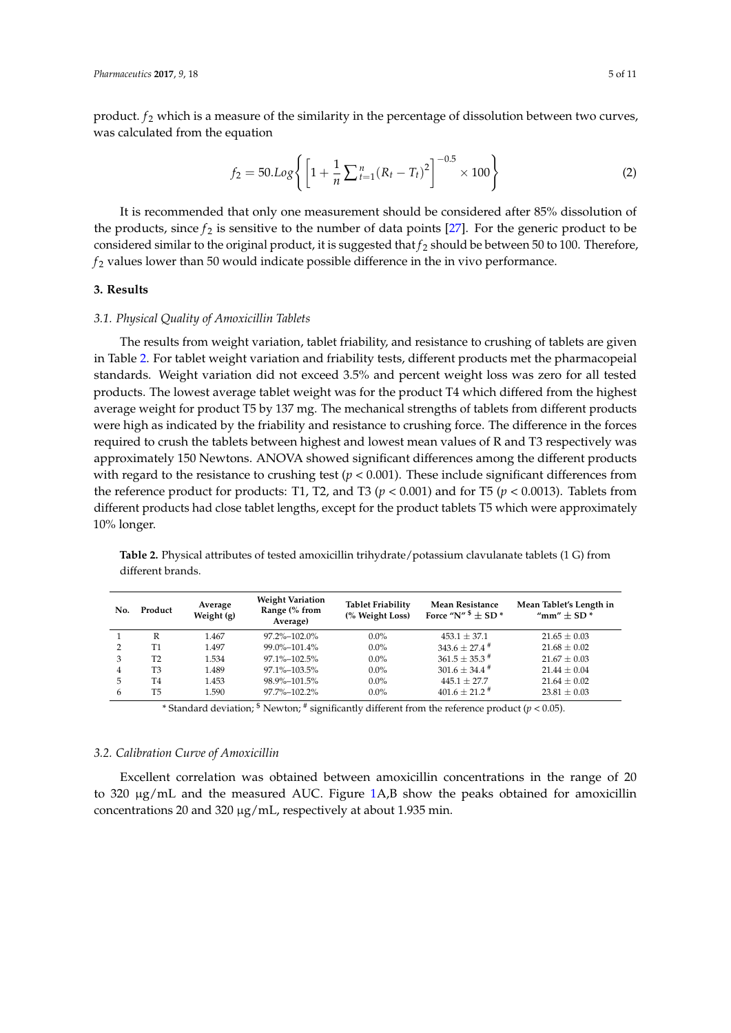product.  $f_2$  which is a measure of the similarity in the percentage of dissolution between two curves, was calculated from the equation

$$
f_2 = 50.Log\left\{ \left[ 1 + \frac{1}{n} \sum_{t=1}^{n} (R_t - T_t)^2 \right]^{-0.5} \times 100 \right\}
$$
 (2)

It is recommended that only one measurement should be considered after 85% dissolution of the products, since  $f_2$  is sensitive to the number of data points [\[27\]](#page-9-12). For the generic product to be considered similar to the original product, it is suggested that  $f_2$  should be between 50 to 100. Therefore,  $f_2$  values lower than 50 would indicate possible difference in the in vivo performance.

#### **3. Results**

#### *3.1. Physical Quality of Amoxicillin Tablets*

The results from weight variation, tablet friability, and resistance to crushing of tablets are given in Table [2.](#page-4-0) For tablet weight variation and friability tests, different products met the pharmacopeial standards. Weight variation did not exceed 3.5% and percent weight loss was zero for all tested products. The lowest average tablet weight was for the product T4 which differed from the highest average weight for product T5 by 137 mg. The mechanical strengths of tablets from different products were high as indicated by the friability and resistance to crushing force. The difference in the forces required to crush the tablets between highest and lowest mean values of R and T3 respectively was approximately 150 Newtons. ANOVA showed significant differences among the different products with regard to the resistance to crushing test  $(p < 0.001)$ . These include significant differences from the reference product for products: T1, T2, and T3 ( $p < 0.001$ ) and for T5 ( $p < 0.0013$ ). Tablets from different products had close tablet lengths, except for the product tablets T5 which were approximately 10% longer.

|                |         | Range (% from<br>Average) | <b>Tablet Friability</b><br>(% Weight Loss) | Mean Resistance<br>Force "N" $\overline{\ }$ $\pm$ SD $\overline{\ }$ | Mean Tablet's Length in<br>"mm" $\pm$ SD $*$ |
|----------------|---------|---------------------------|---------------------------------------------|-----------------------------------------------------------------------|----------------------------------------------|
| R              | 1.467   | 97.2%-102.0%              | $0.0\%$                                     | $453.1 + 37.1$                                                        | $21.65 \pm 0.03$                             |
| Τ1             | 1.497   | 99.0%-101.4%              | $0.0\%$                                     | $343.6 \pm 27.4$ <sup>#</sup>                                         | $21.68 \pm 0.02$                             |
| T <sub>2</sub> | 1.534   | 97.1%-102.5%              | $0.0\%$                                     | $361.5 \pm 35.3$ <sup>#</sup>                                         | $21.67 \pm 0.03$                             |
| T <sub>3</sub> | 1.489   | 97.1%-103.5%              | $0.0\%$                                     | $301.6 \pm 34.4$ <sup>#</sup>                                         | $21.44 \pm 0.04$                             |
| T4             | 1.453   | 98.9%-101.5%              | $0.0\%$                                     | $445.1 + 27.7$                                                        | $21.64 \pm 0.02$                             |
| Т5             | 1.590   | 97.7%-102.2%              | $0.0\%$                                     | $401.6 \pm 21.2$ <sup>#</sup>                                         | $23.81 \pm 0.03$                             |
|                | Product | Average<br>Weight (g)     |                                             |                                                                       |                                              |

<span id="page-4-0"></span>**Table 2.** Physical attributes of tested amoxicillin trihydrate/potassium clavulanate tablets (1 G) from different brands.

\* Standard deviation; \$ Newton; # significantly different from the reference product (*p* < 0.05).

#### *3.2. Calibration Curve of Amoxicillin*

Excellent correlation was obtained between amoxicillin concentrations in the range of 20 to 320 µg/mL and the measured AUC. Figure [1A](#page-5-0),B show the peaks obtained for amoxicillin concentrations 20 and 320 µg/mL, respectively at about 1.935 min.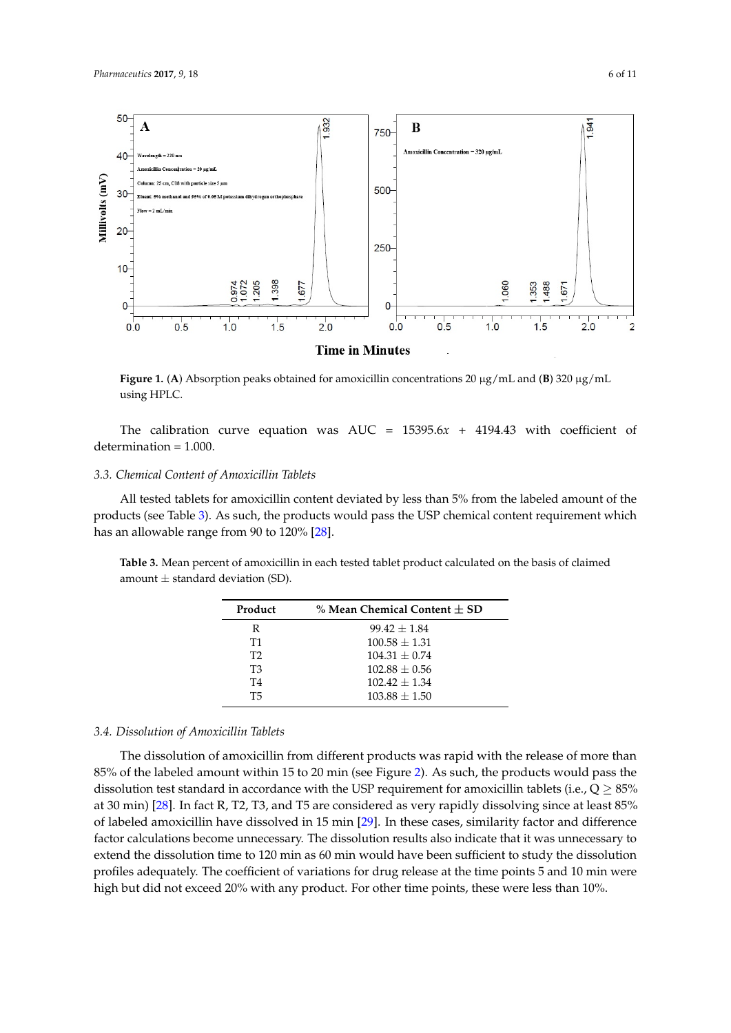<span id="page-5-0"></span>

Figure 1. (A) Absorption peaks obtained for amoxicillin concentrations 20  $\mu$ g/mL and (B) 320  $\mu$ g/mL using HPLC. using HPLC.

The calibration curve equation was AUC = 15395.6*x* + 4194.43 with coefficient of determination  $\frac{11}{100}$ The calibration curve equation was AUC = 15395.6*x* + 4194.43 with coefficient of determination = 1.000.

## *3.3. Chemical Content of Amoxicillin Tablets 3.3. Chemical Content of Amoxicillin Tablets*

All tested tablets for amoxicillin content deviated by less than 5% from the labeled amount of All tested tablets for amoxicillin content deviated by less than 5% from the labeled amount of the the products (see Table 3). As such, the products would pass the USP chemical content requirement products (see Table [3\)](#page-5-1). As such, the products would pass the USP chemical content requirement which has an allowable range from 90 to 120% [\[28\]](#page-9-13).

<span id="page-5-1"></span>**Table 3.** Mean percent of amoxicillin in each tested tablet product calculated on the basis of claimed **Table 3.** Mean percent of amoxicillin in each tested tablet product calculated on the basis of claimed amount  $\pm$  standard deviation (SD).

| Product<br>% Mean Chemical Content $+$ SD |  |
|-------------------------------------------|--|
| $99.42 + 1.84$                            |  |
| $100.58 + 1.31$                           |  |
| $104.31 + 0.74$                           |  |
| $102.88 + 0.56$                           |  |
| $102.42 + 1.34$                           |  |
| $103.88 + 1.50$                           |  |
|                                           |  |

### *3.4. Dissolution of Amoxicillin Tablets 3.4. Dissolution of Amoxicillin Tablets*

The dissolution of amoxicillin from different products was rapid with the release of more than The dissolution of amoxicillin from different products was rapid with the release of more than 85% of the labeled amount within 15 to 20 min (see Figure 2). As such, the products would pass the 85% of the labeled amount within 15 to 20 min (see Figure [2\)](#page-6-0). As such, the products would pass the dissolution test standard in accordance with the USP requirement for amoxicillin tablets (i.e.,  $Q \geq 85\%$ at 30 min) [28]. In fact R, T2, T3, and T5 are considered as very rapidly dissolving since at least 85% at 30 min) [\[28\]](#page-9-13). In fact R, T2, T3, and T5 are considered as very rapidly dissolving since at least 85% of labeled amoxicillin have dissolved in 15 min [\[29\]](#page-9-14). In these cases, similarity factor and difference of labeled amoxicillin have dissolved in 15 min [29]. In these cases, similarity factor and difference factor calculations become unnecessary. The dissolution results also indicate that it was unnecessary factor calculations become unnecessary. The dissolution results also indicate that it was unnecessary to extend the dissolution time to 120 min as 60 min would have been sufficient to study the dissolution profiles adequately. The coefficient of variations for drug release at the time points 5 and 10 min were high but did not exceed 20% with any product. For other time points, these were less than 10%.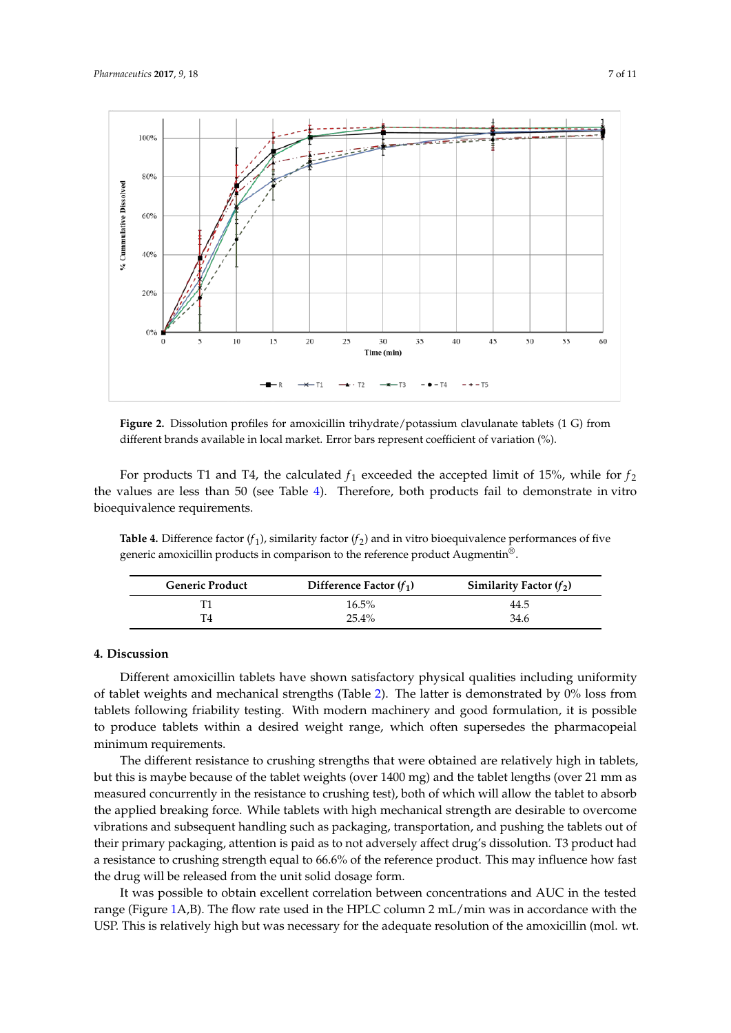<span id="page-6-0"></span>

**Figure 2.** Dissolution profiles for amoxicillin trihydrate/potassium clavulanate tablets (1 G) from **Figure 2.** Dissolution profiles for amoxicillin trihydrate/potassium clavulanate tablets (1 G) from different brands available in local market. Error bars represent coefficient of variation (%). different brands available in local market. Error bars represent coefficient of variation (%).

For products T1 and T4, the calculated *ƒ*<sup>1</sup> exceeded the accepted limit of 15%, while for *ƒ*<sup>2</sup> the For products T1 and T4, the calculated  $f_1$  exceeded the accepted limit of 15%, while for  $f_2$ the values are less than 50 (see Table [4\)](#page-6-1). Therefore, both products fail to demonstrate in vitro bioequivalence requirements.

<span id="page-6-1"></span>**Table 4.** Difference factor (*ƒ*1), similarity factor (*ƒ*2) and in vitro bioequivalence performances of five **Table 4.** Difference factor (*f*<sub>1</sub>), similarity factor (*f*<sub>2</sub>) and in vitro bioequivalence performances of five generic amoxicillin products in comparison to the reference product Augmentin®.

| <b>Generic Product</b> | Difference Factor $(f_1)$ | Similarity Factor $(f_2)$ |
|------------------------|---------------------------|---------------------------|
|                        | $16.5\%$                  | 44.5                      |
| Τ4                     | $25.4\%$                  | 34.6                      |

#### $D_{\text{S}}$ **4. Discussion**

Different amoxicillin tablets have shown satisfactory physical qualities including uniformity of tablet weights and mechanical strengths (Table 2). The latter is demonstrated by 0% loss from tablets following friability testing. With modern machinery and good formulation, it is possible to produce tablets within a desired weight range, which often supersedes the pharmacopeial minimum requirements.

The different resistance to crushing strengths that were obtained are relatively high in tablets, but this is maybe because of the tablet weights (over 1400 mg) and the tablet lengths (over 21 mm as measured concurrently in the resistance to crushing test), both of which will allow the tablet to absorb the applied breaking force. While tablets with high mechanical strength are desirable to overcome vibrations and subsequent handling such as packaging, transportation, and pushing the tablets out of their primary packaging, attention is paid as to not adversely affect drug's dissolution. T3 product had a resistance to crushing strength equal to 66.6% of the reference product. This may influence how fast the drug will be released from the unit solid dosage form.

It was possible to obtain excellent correlation between concentrations and AUC in the tested range (Figure [1A](#page-5-0),B). The flow rate used in the HPLC column 2 mL/min was in accordance with the USP. This is relatively high but was necessary for the adequate resolution of the amoxicillin (mol. wt.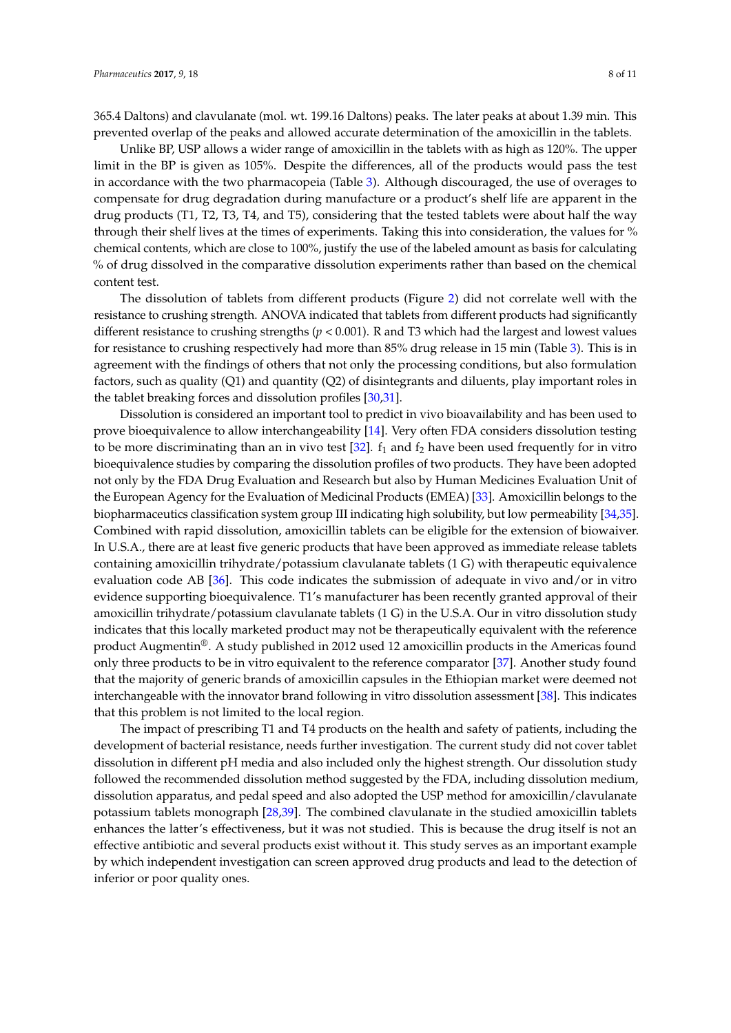365.4 Daltons) and clavulanate (mol. wt. 199.16 Daltons) peaks. The later peaks at about 1.39 min. This prevented overlap of the peaks and allowed accurate determination of the amoxicillin in the tablets.

Unlike BP, USP allows a wider range of amoxicillin in the tablets with as high as 120%. The upper limit in the BP is given as 105%. Despite the differences, all of the products would pass the test in accordance with the two pharmacopeia (Table [3\)](#page-5-1). Although discouraged, the use of overages to compensate for drug degradation during manufacture or a product's shelf life are apparent in the drug products (T1, T2, T3, T4, and T5), considering that the tested tablets were about half the way through their shelf lives at the times of experiments. Taking this into consideration, the values for % chemical contents, which are close to 100%, justify the use of the labeled amount as basis for calculating % of drug dissolved in the comparative dissolution experiments rather than based on the chemical content test.

The dissolution of tablets from different products (Figure [2\)](#page-6-0) did not correlate well with the resistance to crushing strength. ANOVA indicated that tablets from different products had significantly different resistance to crushing strengths (*p* < 0.001). R and T3 which had the largest and lowest values for resistance to crushing respectively had more than 85% drug release in 15 min (Table [3\)](#page-5-1). This is in agreement with the findings of others that not only the processing conditions, but also formulation factors, such as quality (Q1) and quantity (Q2) of disintegrants and diluents, play important roles in the tablet breaking forces and dissolution profiles [\[30,](#page-10-0)[31\]](#page-10-1).

Dissolution is considered an important tool to predict in vivo bioavailability and has been used to prove bioequivalence to allow interchangeability [\[14\]](#page-9-1). Very often FDA considers dissolution testing to be more discriminating than an in vivo test  $[32]$ .  $f_1$  and  $f_2$  have been used frequently for in vitro bioequivalence studies by comparing the dissolution profiles of two products. They have been adopted not only by the FDA Drug Evaluation and Research but also by Human Medicines Evaluation Unit of the European Agency for the Evaluation of Medicinal Products (EMEA) [\[33\]](#page-10-3). Amoxicillin belongs to the biopharmaceutics classification system group III indicating high solubility, but low permeability [\[34](#page-10-4)[,35\]](#page-10-5). Combined with rapid dissolution, amoxicillin tablets can be eligible for the extension of biowaiver. In U.S.A., there are at least five generic products that have been approved as immediate release tablets containing amoxicillin trihydrate/potassium clavulanate tablets (1 G) with therapeutic equivalence evaluation code AB [\[36\]](#page-10-6). This code indicates the submission of adequate in vivo and/or in vitro evidence supporting bioequivalence. T1's manufacturer has been recently granted approval of their amoxicillin trihydrate/potassium clavulanate tablets (1 G) in the U.S.A. Our in vitro dissolution study indicates that this locally marketed product may not be therapeutically equivalent with the reference product Augmentin®. A study published in 2012 used 12 amoxicillin products in the Americas found only three products to be in vitro equivalent to the reference comparator [\[37\]](#page-10-7). Another study found that the majority of generic brands of amoxicillin capsules in the Ethiopian market were deemed not interchangeable with the innovator brand following in vitro dissolution assessment [\[38\]](#page-10-8). This indicates that this problem is not limited to the local region.

The impact of prescribing T1 and T4 products on the health and safety of patients, including the development of bacterial resistance, needs further investigation. The current study did not cover tablet dissolution in different pH media and also included only the highest strength. Our dissolution study followed the recommended dissolution method suggested by the FDA, including dissolution medium, dissolution apparatus, and pedal speed and also adopted the USP method for amoxicillin/clavulanate potassium tablets monograph [\[28](#page-9-13)[,39\]](#page-10-9). The combined clavulanate in the studied amoxicillin tablets enhances the latter's effectiveness, but it was not studied. This is because the drug itself is not an effective antibiotic and several products exist without it. This study serves as an important example by which independent investigation can screen approved drug products and lead to the detection of inferior or poor quality ones.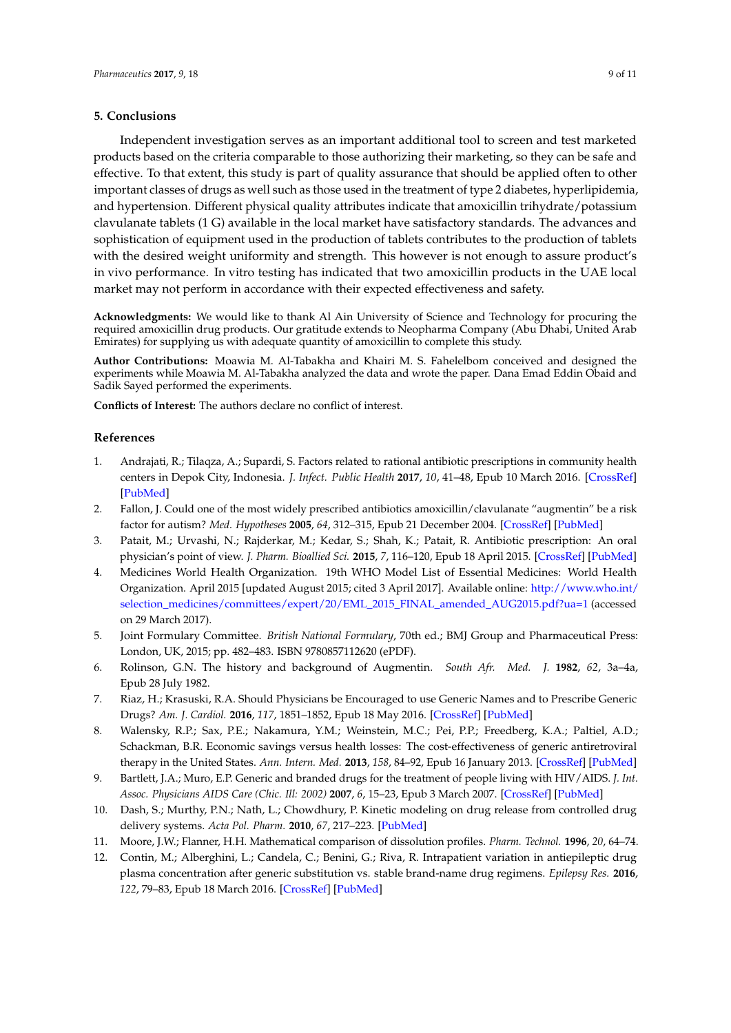#### **5. Conclusions**

Independent investigation serves as an important additional tool to screen and test marketed products based on the criteria comparable to those authorizing their marketing, so they can be safe and effective. To that extent, this study is part of quality assurance that should be applied often to other important classes of drugs as well such as those used in the treatment of type 2 diabetes, hyperlipidemia, and hypertension. Different physical quality attributes indicate that amoxicillin trihydrate/potassium clavulanate tablets (1 G) available in the local market have satisfactory standards. The advances and sophistication of equipment used in the production of tablets contributes to the production of tablets with the desired weight uniformity and strength. This however is not enough to assure product's in vivo performance. In vitro testing has indicated that two amoxicillin products in the UAE local market may not perform in accordance with their expected effectiveness and safety.

**Acknowledgments:** We would like to thank Al Ain University of Science and Technology for procuring the required amoxicillin drug products. Our gratitude extends to Neopharma Company (Abu Dhabi, United Arab Emirates) for supplying us with adequate quantity of amoxicillin to complete this study.

**Author Contributions:** Moawia M. Al-Tabakha and Khairi M. S. Fahelelbom conceived and designed the experiments while Moawia M. Al-Tabakha analyzed the data and wrote the paper. Dana Emad Eddin Obaid and Sadik Sayed performed the experiments.

**Conflicts of Interest:** The authors declare no conflict of interest.

#### **References**

- <span id="page-8-0"></span>1. Andrajati, R.; Tilaqza, A.; Supardi, S. Factors related to rational antibiotic prescriptions in community health centers in Depok City, Indonesia. *J. Infect. Public Health* **2017**, *10*, 41–48, Epub 10 March 2016. [\[CrossRef\]](http://dx.doi.org/10.1016/j.jiph.2016.01.012) [\[PubMed\]](http://www.ncbi.nlm.nih.gov/pubmed/26952648)
- 2. Fallon, J. Could one of the most widely prescribed antibiotics amoxicillin/clavulanate "augmentin" be a risk factor for autism? *Med. Hypotheses* **2005**, *64*, 312–315, Epub 21 December 2004. [\[CrossRef\]](http://dx.doi.org/10.1016/j.mehy.2004.06.023) [\[PubMed\]](http://www.ncbi.nlm.nih.gov/pubmed/15607562)
- <span id="page-8-1"></span>3. Patait, M.; Urvashi, N.; Rajderkar, M.; Kedar, S.; Shah, K.; Patait, R. Antibiotic prescription: An oral physician's point of view. *J. Pharm. Bioallied Sci.* **2015**, *7*, 116–120, Epub 18 April 2015. [\[CrossRef\]](http://dx.doi.org/10.4103/0975-7406.154434) [\[PubMed\]](http://www.ncbi.nlm.nih.gov/pubmed/25883515)
- <span id="page-8-2"></span>4. Medicines World Health Organization. 19th WHO Model List of Essential Medicines: World Health Organization. April 2015 [updated August 2015; cited 3 April 2017]. Available online: [http://www.who.int/](http://www.who.int/selection_medicines/committees/expert/20/EML_2015_FINAL_amended_AUG2015.pdf?ua=1) [selection\\_medicines/committees/expert/20/EML\\_2015\\_FINAL\\_amended\\_AUG2015.pdf?ua=1](http://www.who.int/selection_medicines/committees/expert/20/EML_2015_FINAL_amended_AUG2015.pdf?ua=1) (accessed on 29 March 2017).
- <span id="page-8-3"></span>5. Joint Formulary Committee. *British National Formulary*, 70th ed.; BMJ Group and Pharmaceutical Press: London, UK, 2015; pp. 482–483. ISBN 9780857112620 (ePDF).
- <span id="page-8-4"></span>6. Rolinson, G.N. The history and background of Augmentin. *South Afr. Med. J.* **1982**, *62*, 3a–4a, Epub 28 July 1982.
- <span id="page-8-5"></span>7. Riaz, H.; Krasuski, R.A. Should Physicians be Encouraged to use Generic Names and to Prescribe Generic Drugs? *Am. J. Cardiol.* **2016**, *117*, 1851–1852, Epub 18 May 2016. [\[CrossRef\]](http://dx.doi.org/10.1016/j.amjcard.2016.03.023) [\[PubMed\]](http://www.ncbi.nlm.nih.gov/pubmed/27179932)
- <span id="page-8-10"></span>8. Walensky, R.P.; Sax, P.E.; Nakamura, Y.M.; Weinstein, M.C.; Pei, P.P.; Freedberg, K.A.; Paltiel, A.D.; Schackman, B.R. Economic savings versus health losses: The cost-effectiveness of generic antiretroviral therapy in the United States. *Ann. Intern. Med.* **2013**, *158*, 84–92, Epub 16 January 2013. [\[CrossRef\]](http://dx.doi.org/10.7326/0003-4819-158-2-201301150-00002) [\[PubMed\]](http://www.ncbi.nlm.nih.gov/pubmed/23318310)
- <span id="page-8-6"></span>9. Bartlett, J.A.; Muro, E.P. Generic and branded drugs for the treatment of people living with HIV/AIDS. *J. Int. Assoc. Physicians AIDS Care (Chic. Ill: 2002)* **2007**, *6*, 15–23, Epub 3 March 2007. [\[CrossRef\]](http://dx.doi.org/10.1177/1545109707299856) [\[PubMed\]](http://www.ncbi.nlm.nih.gov/pubmed/17329500)
- <span id="page-8-7"></span>10. Dash, S.; Murthy, P.N.; Nath, L.; Chowdhury, P. Kinetic modeling on drug release from controlled drug delivery systems. *Acta Pol. Pharm.* **2010**, *67*, 217–223. [\[PubMed\]](http://www.ncbi.nlm.nih.gov/pubmed/20524422)
- <span id="page-8-8"></span>11. Moore, J.W.; Flanner, H.H. Mathematical comparison of dissolution profiles. *Pharm. Technol.* **1996**, *20*, 64–74.
- <span id="page-8-9"></span>12. Contin, M.; Alberghini, L.; Candela, C.; Benini, G.; Riva, R. Intrapatient variation in antiepileptic drug plasma concentration after generic substitution vs. stable brand-name drug regimens. *Epilepsy Res.* **2016**, *122*, 79–83, Epub 18 March 2016. [\[CrossRef\]](http://dx.doi.org/10.1016/j.eplepsyres.2016.02.012) [\[PubMed\]](http://www.ncbi.nlm.nih.gov/pubmed/26987080)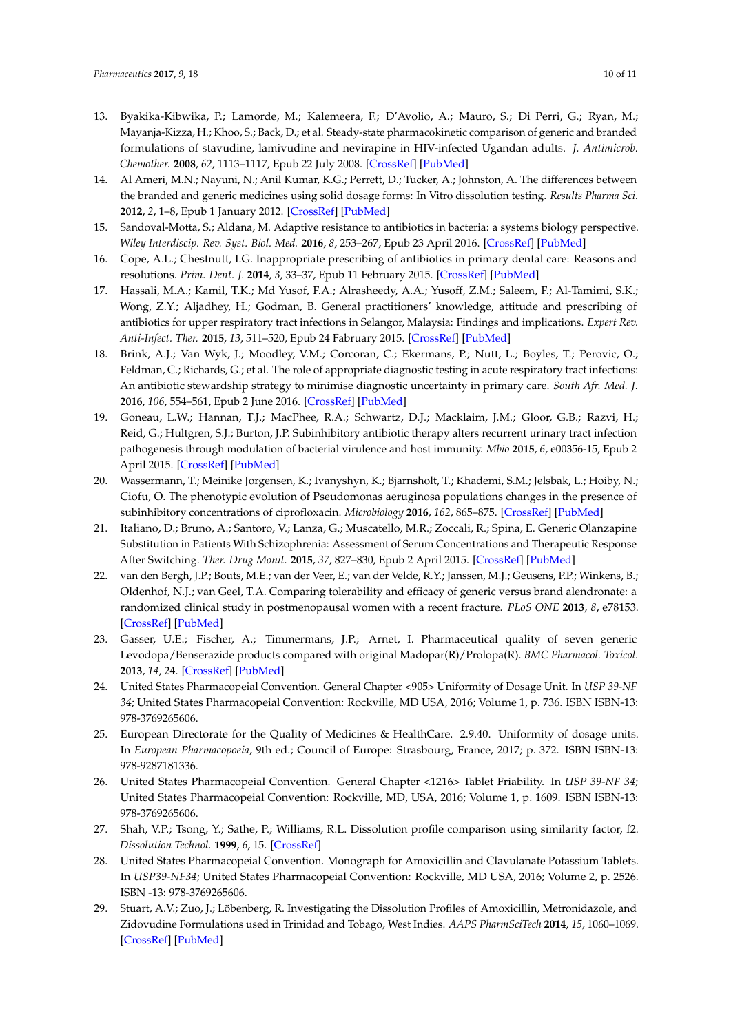- <span id="page-9-0"></span>13. Byakika-Kibwika, P.; Lamorde, M.; Kalemeera, F.; D'Avolio, A.; Mauro, S.; Di Perri, G.; Ryan, M.; Mayanja-Kizza, H.; Khoo, S.; Back, D.; et al. Steady-state pharmacokinetic comparison of generic and branded formulations of stavudine, lamivudine and nevirapine in HIV-infected Ugandan adults. *J. Antimicrob. Chemother.* **2008**, *62*, 1113–1117, Epub 22 July 2008. [\[CrossRef\]](http://dx.doi.org/10.1093/jac/dkn290) [\[PubMed\]](http://www.ncbi.nlm.nih.gov/pubmed/18641036)
- <span id="page-9-1"></span>14. Al Ameri, M.N.; Nayuni, N.; Anil Kumar, K.G.; Perrett, D.; Tucker, A.; Johnston, A. The differences between the branded and generic medicines using solid dosage forms: In Vitro dissolution testing. *Results Pharma Sci.* **2012**, *2*, 1–8, Epub 1 January 2012. [\[CrossRef\]](http://dx.doi.org/10.1016/j.rinphs.2011.12.001) [\[PubMed\]](http://www.ncbi.nlm.nih.gov/pubmed/25755988)
- <span id="page-9-2"></span>15. Sandoval-Motta, S.; Aldana, M. Adaptive resistance to antibiotics in bacteria: a systems biology perspective. *Wiley Interdiscip. Rev. Syst. Biol. Med.* **2016**, *8*, 253–267, Epub 23 April 2016. [\[CrossRef\]](http://dx.doi.org/10.1002/wsbm.1335) [\[PubMed\]](http://www.ncbi.nlm.nih.gov/pubmed/27103502)
- <span id="page-9-3"></span>16. Cope, A.L.; Chestnutt, I.G. Inappropriate prescribing of antibiotics in primary dental care: Reasons and resolutions. *Prim. Dent. J.* **2014**, *3*, 33–37, Epub 11 February 2015. [\[CrossRef\]](http://dx.doi.org/10.1308/205016814813877333) [\[PubMed\]](http://www.ncbi.nlm.nih.gov/pubmed/25668373)
- 17. Hassali, M.A.; Kamil, T.K.; Md Yusof, F.A.; Alrasheedy, A.A.; Yusoff, Z.M.; Saleem, F.; Al-Tamimi, S.K.; Wong, Z.Y.; Aljadhey, H.; Godman, B. General practitioners' knowledge, attitude and prescribing of antibiotics for upper respiratory tract infections in Selangor, Malaysia: Findings and implications. *Expert Rev. Anti-Infect. Ther.* **2015**, *13*, 511–520, Epub 24 Fabruary 2015. [\[CrossRef\]](http://dx.doi.org/10.1586/14787210.2015.1012497) [\[PubMed\]](http://www.ncbi.nlm.nih.gov/pubmed/25704246)
- <span id="page-9-4"></span>18. Brink, A.J.; Van Wyk, J.; Moodley, V.M.; Corcoran, C.; Ekermans, P.; Nutt, L.; Boyles, T.; Perovic, O.; Feldman, C.; Richards, G.; et al. The role of appropriate diagnostic testing in acute respiratory tract infections: An antibiotic stewardship strategy to minimise diagnostic uncertainty in primary care. *South Afr. Med. J.* **2016**, *106*, 554–561, Epub 2 June 2016. [\[CrossRef\]](http://dx.doi.org/10.7196/SAMJ.2016.v106i6.10857) [\[PubMed\]](http://www.ncbi.nlm.nih.gov/pubmed/27245715)
- <span id="page-9-5"></span>19. Goneau, L.W.; Hannan, T.J.; MacPhee, R.A.; Schwartz, D.J.; Macklaim, J.M.; Gloor, G.B.; Razvi, H.; Reid, G.; Hultgren, S.J.; Burton, J.P. Subinhibitory antibiotic therapy alters recurrent urinary tract infection pathogenesis through modulation of bacterial virulence and host immunity. *Mbio* **2015**, *6*, e00356-15, Epub 2 April 2015. [\[CrossRef\]](http://dx.doi.org/10.1128/mBio.00356-15) [\[PubMed\]](http://www.ncbi.nlm.nih.gov/pubmed/25827417)
- <span id="page-9-6"></span>20. Wassermann, T.; Meinike Jorgensen, K.; Ivanyshyn, K.; Bjarnsholt, T.; Khademi, S.M.; Jelsbak, L.; Hoiby, N.; Ciofu, O. The phenotypic evolution of Pseudomonas aeruginosa populations changes in the presence of subinhibitory concentrations of ciprofloxacin. *Microbiology* **2016**, *162*, 865–875. [\[CrossRef\]](http://dx.doi.org/10.1099/mic.0.000273) [\[PubMed\]](http://www.ncbi.nlm.nih.gov/pubmed/26953154)
- <span id="page-9-7"></span>21. Italiano, D.; Bruno, A.; Santoro, V.; Lanza, G.; Muscatello, M.R.; Zoccali, R.; Spina, E. Generic Olanzapine Substitution in Patients With Schizophrenia: Assessment of Serum Concentrations and Therapeutic Response After Switching. *Ther. Drug Monit.* **2015**, *37*, 827–830, Epub 2 April 2015. [\[CrossRef\]](http://dx.doi.org/10.1097/FTD.0000000000000211) [\[PubMed\]](http://www.ncbi.nlm.nih.gov/pubmed/25830930)
- 22. van den Bergh, J.P.; Bouts, M.E.; van der Veer, E.; van der Velde, R.Y.; Janssen, M.J.; Geusens, P.P.; Winkens, B.; Oldenhof, N.J.; van Geel, T.A. Comparing tolerability and efficacy of generic versus brand alendronate: a randomized clinical study in postmenopausal women with a recent fracture. *PLoS ONE* **2013**, *8*, e78153. [\[CrossRef\]](http://dx.doi.org/10.1371/journal.pone.0078153) [\[PubMed\]](http://www.ncbi.nlm.nih.gov/pubmed/24205135)
- <span id="page-9-8"></span>23. Gasser, U.E.; Fischer, A.; Timmermans, J.P.; Arnet, I. Pharmaceutical quality of seven generic Levodopa/Benserazide products compared with original Madopar(R)/Prolopa(R). *BMC Pharmacol. Toxicol.* **2013**, *14*, 24. [\[CrossRef\]](http://dx.doi.org/10.1186/2050-6511-14-24) [\[PubMed\]](http://www.ncbi.nlm.nih.gov/pubmed/23617953)
- <span id="page-9-9"></span>24. United States Pharmacopeial Convention. General Chapter <905> Uniformity of Dosage Unit. In *USP 39-NF 34*; United States Pharmacopeial Convention: Rockville, MD USA, 2016; Volume 1, p. 736. ISBN ISBN-13: 978-3769265606.
- <span id="page-9-10"></span>25. European Directorate for the Quality of Medicines & HealthCare. 2.9.40. Uniformity of dosage units. In *European Pharmacopoeia*, 9th ed.; Council of Europe: Strasbourg, France, 2017; p. 372. ISBN ISBN-13: 978-9287181336.
- <span id="page-9-11"></span>26. United States Pharmacopeial Convention. General Chapter <1216> Tablet Friability. In *USP 39-NF 34*; United States Pharmacopeial Convention: Rockville, MD, USA, 2016; Volume 1, p. 1609. ISBN ISBN-13: 978-3769265606.
- <span id="page-9-12"></span>27. Shah, V.P.; Tsong, Y.; Sathe, P.; Williams, R.L. Dissolution profile comparison using similarity factor, f2. *Dissolution Technol.* **1999**, *6*, 15. [\[CrossRef\]](http://dx.doi.org/10.14227/DT060399P15)
- <span id="page-9-13"></span>28. United States Pharmacopeial Convention. Monograph for Amoxicillin and Clavulanate Potassium Tablets. In *USP39-NF34*; United States Pharmacopeial Convention: Rockville, MD USA, 2016; Volume 2, p. 2526. ISBN -13: 978-3769265606.
- <span id="page-9-14"></span>29. Stuart, A.V.; Zuo, J.; Löbenberg, R. Investigating the Dissolution Profiles of Amoxicillin, Metronidazole, and Zidovudine Formulations used in Trinidad and Tobago, West Indies. *AAPS PharmSciTech* **2014**, *15*, 1060–1069. [\[CrossRef\]](http://dx.doi.org/10.1208/s12249-014-0132-9) [\[PubMed\]](http://www.ncbi.nlm.nih.gov/pubmed/24848758)